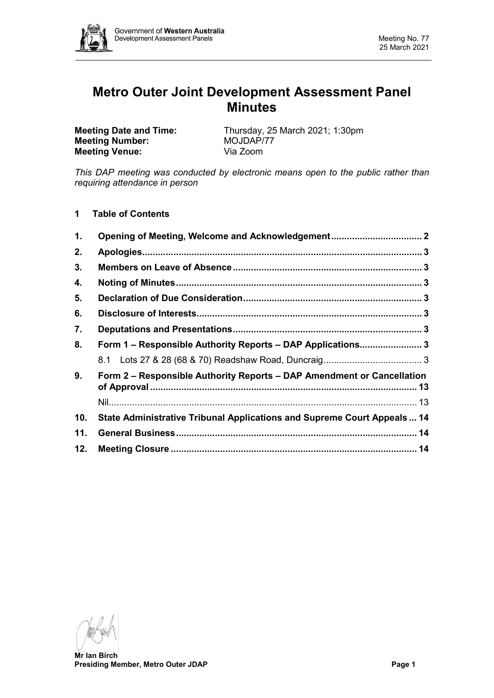

# **Metro Outer Joint Development Assessment Panel Minutes**

**Meeting Number:** MOJDAP/<br> **Meeting Venue:** Via Zoom **Meeting Venue:** 

**Meeting Date and Time:** Thursday, 25 March 2021; 1:30pm<br>**Meeting Number:** MOJDAP/77

*This DAP meeting was conducted by electronic means open to the public rather than requiring attendance in person*

**1 Table of Contents**

| $\mathbf 1$ . |                                                                         |  |  |
|---------------|-------------------------------------------------------------------------|--|--|
| 2.            |                                                                         |  |  |
| 3.            |                                                                         |  |  |
| 4.            |                                                                         |  |  |
| 5.            |                                                                         |  |  |
| 6.            |                                                                         |  |  |
| 7.            |                                                                         |  |  |
| 8.            | Form 1 - Responsible Authority Reports - DAP Applications 3             |  |  |
|               |                                                                         |  |  |
| 9.            | Form 2 – Responsible Authority Reports – DAP Amendment or Cancellation  |  |  |
|               |                                                                         |  |  |
| 10.           | State Administrative Tribunal Applications and Supreme Court Appeals 14 |  |  |
| 11.           |                                                                         |  |  |
| 12.           |                                                                         |  |  |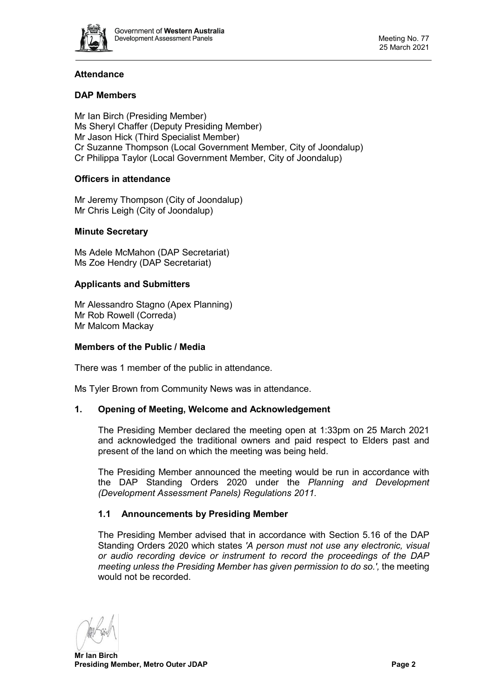

# **Attendance**

# **DAP Members**

Mr Ian Birch (Presiding Member) Ms Sheryl Chaffer (Deputy Presiding Member) Mr Jason Hick (Third Specialist Member) Cr Suzanne Thompson (Local Government Member, City of Joondalup) Cr Philippa Taylor (Local Government Member, City of Joondalup)

## **Officers in attendance**

Mr Jeremy Thompson (City of Joondalup) Mr Chris Leigh (City of Joondalup)

## **Minute Secretary**

Ms Adele McMahon (DAP Secretariat) Ms Zoe Hendry (DAP Secretariat)

## **Applicants and Submitters**

Mr Alessandro Stagno (Apex Planning) Mr Rob Rowell (Correda) Mr Malcom Mackay

## **Members of the Public / Media**

There was 1 member of the public in attendance.

<span id="page-1-0"></span>Ms Tyler Brown from Community News was in attendance.

## **1. Opening of Meeting, Welcome and Acknowledgement**

The Presiding Member declared the meeting open at 1:33pm on 25 March 2021 and acknowledged the traditional owners and paid respect to Elders past and present of the land on which the meeting was being held.

The Presiding Member announced the meeting would be run in accordance with the DAP Standing Orders 2020 under the *Planning and Development (Development Assessment Panels) Regulations 2011.*

## **1.1 Announcements by Presiding Member**

The Presiding Member advised that in accordance with Section 5.16 of the DAP Standing Orders 2020 which states *'A person must not use any electronic, visual or audio recording device or instrument to record the proceedings of the DAP meeting unless the Presiding Member has given permission to do so.',* the meeting would not be recorded.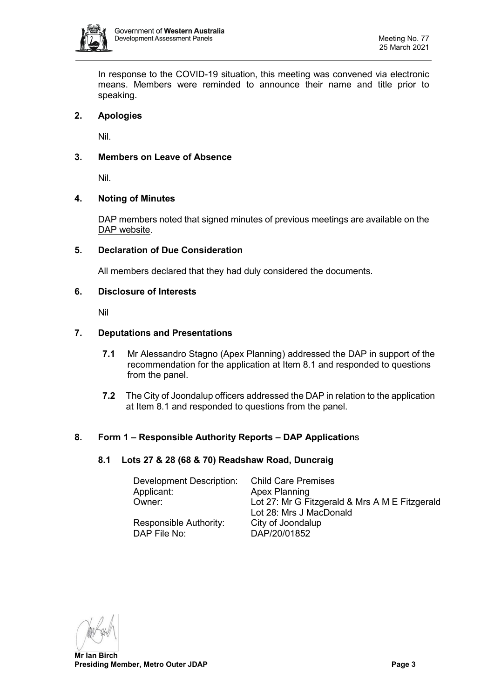

In response to the COVID-19 situation, this meeting was convened via electronic means. Members were reminded to announce their name and title prior to speaking.

# <span id="page-2-0"></span>**2. Apologies**

Nil.

# <span id="page-2-1"></span>**3. Members on Leave of Absence**

Nil.

# <span id="page-2-2"></span>**4. Noting of Minutes**

DAP members noted that signed minutes of previous meetings are available on the [DAP website.](https://www.dplh.wa.gov.au/about/development-assessment-panels/daps-agendas-and-minutes)

## <span id="page-2-3"></span>**5. Declaration of Due Consideration**

All members declared that they had duly considered the documents.

## <span id="page-2-4"></span>**6. Disclosure of Interests**

Nil

## <span id="page-2-5"></span>**7. Deputations and Presentations**

- **7.1** Mr Alessandro Stagno (Apex Planning) addressed the DAP in support of the recommendation for the application at Item 8.1 and responded to questions from the panel.
- **7.2** The City of Joondalup officers addressed the DAP in relation to the application at Item 8.1 and responded to questions from the panel.

## <span id="page-2-7"></span><span id="page-2-6"></span>**8. Form 1 – Responsible Authority Reports – DAP Application**s

## **8.1 Lots 27 & 28 (68 & 70) Readshaw Road, Duncraig**

| Development Description: | <b>Child Care Premises</b>                     |  |  |
|--------------------------|------------------------------------------------|--|--|
| Applicant:               | <b>Apex Planning</b>                           |  |  |
| Owner:                   | Lot 27: Mr G Fitzgerald & Mrs A M E Fitzgerald |  |  |
|                          | Lot 28: Mrs J MacDonald                        |  |  |
| Responsible Authority:   | City of Joondalup                              |  |  |
| DAP File No:             | DAP/20/01852                                   |  |  |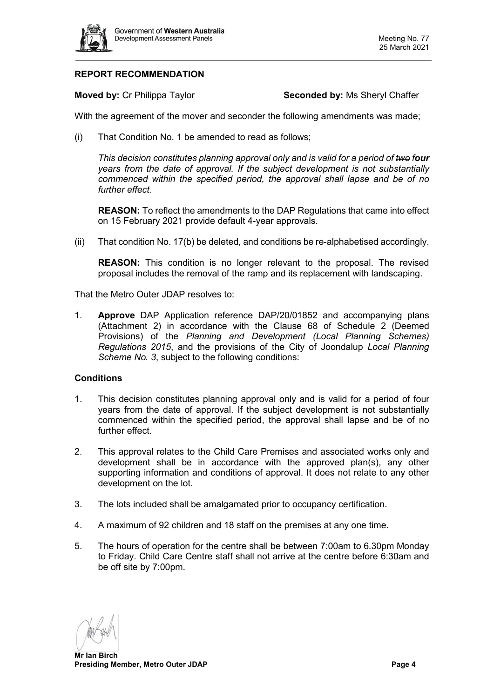

# **REPORT RECOMMENDATION**

**Moved by:** Cr Philippa Taylor **Seconded by:** Ms Sheryl Chaffer

With the agreement of the mover and seconder the following amendments was made;

(i) That Condition No. 1 be amended to read as follows;

*This decision constitutes planning approval only and is valid for a period of two four years from the date of approval. If the subject development is not substantially commenced within the specified period, the approval shall lapse and be of no further effect.* 

**REASON:** To reflect the amendments to the DAP Regulations that came into effect on 15 February 2021 provide default 4-year approvals.

(ii) That condition No. 17(b) be deleted, and conditions be re-alphabetised accordingly.

**REASON:** This condition is no longer relevant to the proposal. The revised proposal includes the removal of the ramp and its replacement with landscaping.

That the Metro Outer JDAP resolves to:

1. **Approve** DAP Application reference DAP/20/01852 and accompanying plans (Attachment 2) in accordance with the Clause 68 of Schedule 2 (Deemed Provisions) of the *Planning and Development (Local Planning Schemes) Regulations 2015*, and the provisions of the City of Joondalup *Local Planning Scheme No. 3*, subject to the following conditions:

## **Conditions**

- 1. This decision constitutes planning approval only and is valid for a period of four years from the date of approval. If the subject development is not substantially commenced within the specified period, the approval shall lapse and be of no further effect.
- 2. This approval relates to the Child Care Premises and associated works only and development shall be in accordance with the approved plan(s), any other supporting information and conditions of approval. It does not relate to any other development on the lot.
- 3. The lots included shall be amalgamated prior to occupancy certification.
- 4. A maximum of 92 children and 18 staff on the premises at any one time.
- 5. The hours of operation for the centre shall be between 7:00am to 6.30pm Monday to Friday. Child Care Centre staff shall not arrive at the centre before 6:30am and be off site by 7:00pm.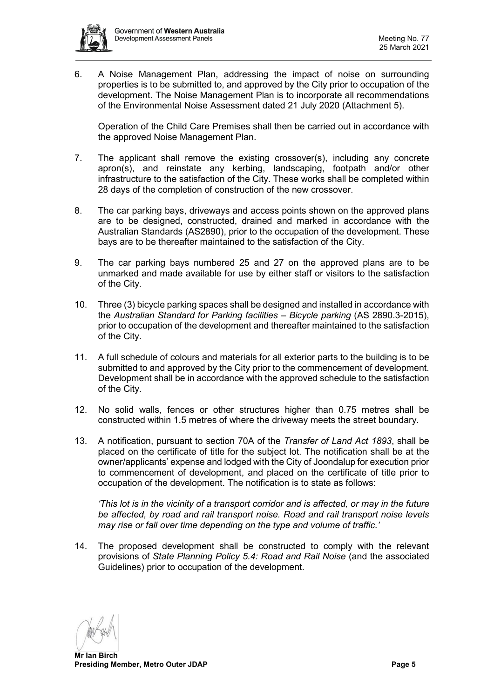

6. A Noise Management Plan, addressing the impact of noise on surrounding properties is to be submitted to, and approved by the City prior to occupation of the development. The Noise Management Plan is to incorporate all recommendations of the Environmental Noise Assessment dated 21 July 2020 (Attachment 5).

Operation of the Child Care Premises shall then be carried out in accordance with the approved Noise Management Plan.

- 7. The applicant shall remove the existing crossover(s), including any concrete apron(s), and reinstate any kerbing, landscaping, footpath and/or other infrastructure to the satisfaction of the City. These works shall be completed within 28 days of the completion of construction of the new crossover.
- 8. The car parking bays, driveways and access points shown on the approved plans are to be designed, constructed, drained and marked in accordance with the Australian Standards (AS2890), prior to the occupation of the development. These bays are to be thereafter maintained to the satisfaction of the City.
- 9. The car parking bays numbered 25 and 27 on the approved plans are to be unmarked and made available for use by either staff or visitors to the satisfaction of the City.
- 10. Three (3) bicycle parking spaces shall be designed and installed in accordance with the *Australian Standard for Parking facilities – Bicycle parking* (AS 2890.3-2015), prior to occupation of the development and thereafter maintained to the satisfaction of the City.
- 11. A full schedule of colours and materials for all exterior parts to the building is to be submitted to and approved by the City prior to the commencement of development. Development shall be in accordance with the approved schedule to the satisfaction of the City.
- 12. No solid walls, fences or other structures higher than 0.75 metres shall be constructed within 1.5 metres of where the driveway meets the street boundary.
- 13. A notification, pursuant to section 70A of the *Transfer of Land Act 1893*, shall be placed on the certificate of title for the subject lot. The notification shall be at the owner/applicants' expense and lodged with the City of Joondalup for execution prior to commencement of development, and placed on the certificate of title prior to occupation of the development. The notification is to state as follows:

*'This lot is in the vicinity of a transport corridor and is affected, or may in the future be affected, by road and rail transport noise. Road and rail transport noise levels may rise or fall over time depending on the type and volume of traffic.'*

14. The proposed development shall be constructed to comply with the relevant provisions of *State Planning Policy 5.4: Road and Rail Noise* (and the associated Guidelines) prior to occupation of the development.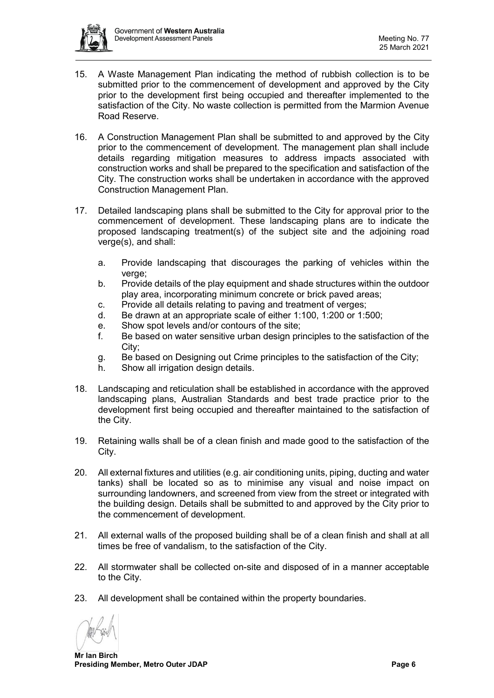

- 15. A Waste Management Plan indicating the method of rubbish collection is to be submitted prior to the commencement of development and approved by the City prior to the development first being occupied and thereafter implemented to the satisfaction of the City. No waste collection is permitted from the Marmion Avenue Road Reserve.
- 16. A Construction Management Plan shall be submitted to and approved by the City prior to the commencement of development. The management plan shall include details regarding mitigation measures to address impacts associated with construction works and shall be prepared to the specification and satisfaction of the City. The construction works shall be undertaken in accordance with the approved Construction Management Plan.
- 17. Detailed landscaping plans shall be submitted to the City for approval prior to the commencement of development. These landscaping plans are to indicate the proposed landscaping treatment(s) of the subject site and the adjoining road verge(s), and shall:
	- a. Provide landscaping that discourages the parking of vehicles within the verge;
	- b. Provide details of the play equipment and shade structures within the outdoor play area, incorporating minimum concrete or brick paved areas;
	- c. Provide all details relating to paving and treatment of verges;
	- d. Be drawn at an appropriate scale of either 1:100, 1:200 or 1:500;
	- e. Show spot levels and/or contours of the site;
	- f. Be based on water sensitive urban design principles to the satisfaction of the City;
	- g. Be based on Designing out Crime principles to the satisfaction of the City;
	- h. Show all irrigation design details.
- 18. Landscaping and reticulation shall be established in accordance with the approved landscaping plans, Australian Standards and best trade practice prior to the development first being occupied and thereafter maintained to the satisfaction of the City.
- 19. Retaining walls shall be of a clean finish and made good to the satisfaction of the City.
- 20. All external fixtures and utilities (e.g. air conditioning units, piping, ducting and water tanks) shall be located so as to minimise any visual and noise impact on surrounding landowners, and screened from view from the street or integrated with the building design. Details shall be submitted to and approved by the City prior to the commencement of development.
- 21. All external walls of the proposed building shall be of a clean finish and shall at all times be free of vandalism, to the satisfaction of the City.
- 22. All stormwater shall be collected on-site and disposed of in a manner acceptable to the City.
- 23. All development shall be contained within the property boundaries.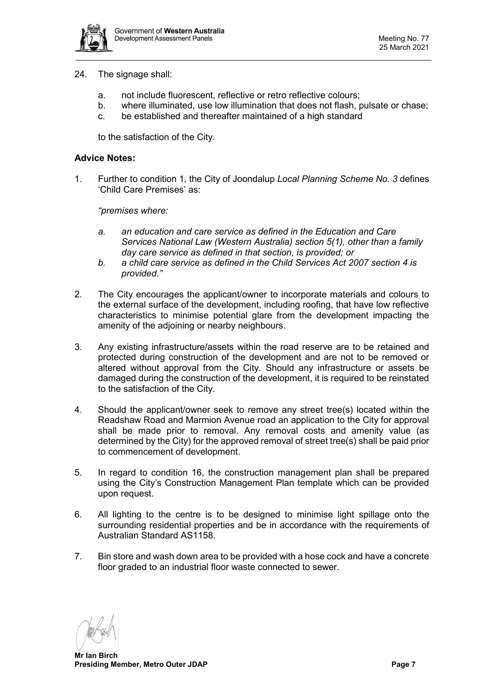

- 24. The signage shall:
	- a. not include fluorescent, reflective or retro reflective colours;
	- b. where illuminated, use low illumination that does not flash, pulsate or chase;
	- c. be established and thereafter maintained of a high standard

to the satisfaction of the City.

## **Advice Notes:**

1. Further to condition 1, the City of Joondalup *Local Planning Scheme No. 3* defines 'Child Care Premises' as:

*"premises where:*

- *a. an education and care service as defined in the Education and Care Services National Law (Western Australia) section 5(1), other than a family day care service as defined in that section, is provided; or*
- *b. a child care service as defined in the Child Services Act 2007 section 4 is provided."*
- 2. The City encourages the applicant/owner to incorporate materials and colours to the external surface of the development, including roofing, that have low reflective characteristics to minimise potential glare from the development impacting the amenity of the adjoining or nearby neighbours.
- 3. Any existing infrastructure/assets within the road reserve are to be retained and protected during construction of the development and are not to be removed or altered without approval from the City. Should any infrastructure or assets be damaged during the construction of the development, it is required to be reinstated to the satisfaction of the City.
- 4. Should the applicant/owner seek to remove any street tree(s) located within the Readshaw Road and Marmion Avenue road an application to the City for approval shall be made prior to removal. Any removal costs and amenity value (as determined by the City) for the approved removal of street tree(s) shall be paid prior to commencement of development.
- 5. In regard to condition 16, the construction management plan shall be prepared using the City's Construction Management Plan template which can be provided upon request.
- 6. All lighting to the centre is to be designed to minimise light spillage onto the surrounding residential properties and be in accordance with the requirements of Australian Standard AS1158.
- 7. Bin store and wash down area to be provided with a hose cock and have a concrete floor graded to an industrial floor waste connected to sewer.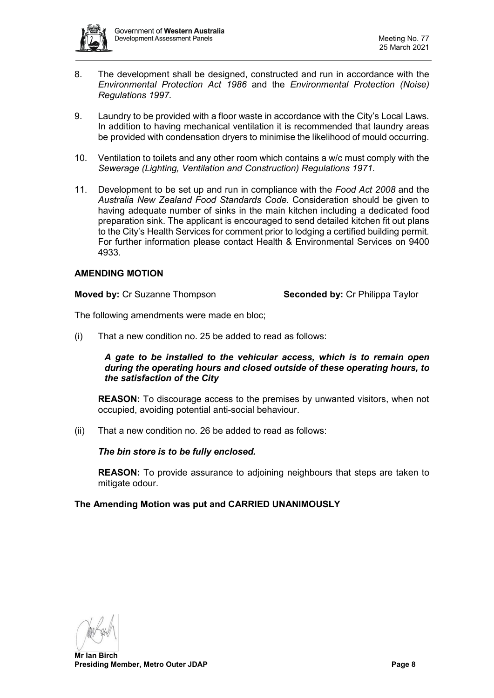

- 8. The development shall be designed, constructed and run in accordance with the *Environmental Protection Act 1986* and the *Environmental Protection (Noise) Regulations 1997.*
- 9. Laundry to be provided with a floor waste in accordance with the City's Local Laws. In addition to having mechanical ventilation it is recommended that laundry areas be provided with condensation dryers to minimise the likelihood of mould occurring.
- 10. Ventilation to toilets and any other room which contains a w/c must comply with the *Sewerage (Lighting, Ventilation and Construction) Regulations 1971.*
- 11. Development to be set up and run in compliance with the *Food Act 2008* and the *Australia New Zealand Food Standards Code*. Consideration should be given to having adequate number of sinks in the main kitchen including a dedicated food preparation sink. The applicant is encouraged to send detailed kitchen fit out plans to the City's Health Services for comment prior to lodging a certified building permit. For further information please contact Health & Environmental Services on 9400 4933.

## **AMENDING MOTION**

**Moved by:** Cr Suzanne Thompson **Seconded by:** Cr Philippa Taylor

The following amendments were made en bloc;

(i) That a new condition no. 25 be added to read as follows:

*A gate to be installed to the vehicular access, which is to remain open during the operating hours and closed outside of these operating hours, to the satisfaction of the City*

**REASON:** To discourage access to the premises by unwanted visitors, when not occupied, avoiding potential anti-social behaviour.

(ii) That a new condition no. 26 be added to read as follows:

*The bin store is to be fully enclosed.*

**REASON:** To provide assurance to adjoining neighbours that steps are taken to mitigate odour.

## **The Amending Motion was put and CARRIED UNANIMOUSLY**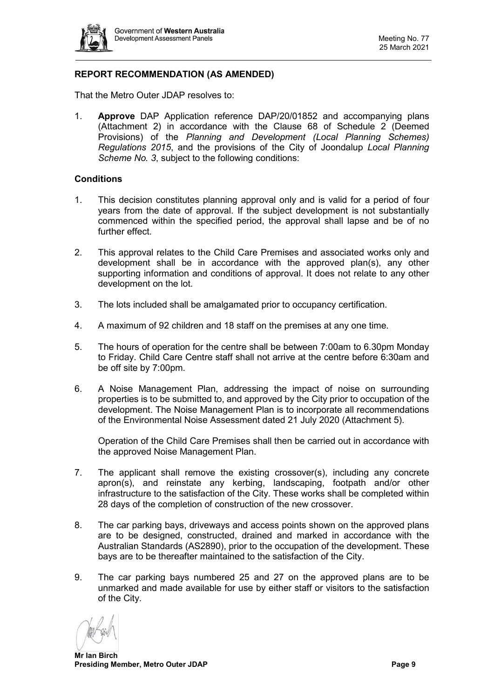

# **REPORT RECOMMENDATION (AS AMENDED)**

That the Metro Outer JDAP resolves to:

1. **Approve** DAP Application reference DAP/20/01852 and accompanying plans (Attachment 2) in accordance with the Clause 68 of Schedule 2 (Deemed Provisions) of the *Planning and Development (Local Planning Schemes) Regulations 2015*, and the provisions of the City of Joondalup *Local Planning Scheme No. 3*, subject to the following conditions:

#### **Conditions**

- 1. This decision constitutes planning approval only and is valid for a period of four years from the date of approval. If the subject development is not substantially commenced within the specified period, the approval shall lapse and be of no further effect.
- 2. This approval relates to the Child Care Premises and associated works only and development shall be in accordance with the approved plan(s), any other supporting information and conditions of approval. It does not relate to any other development on the lot.
- 3. The lots included shall be amalgamated prior to occupancy certification.
- 4. A maximum of 92 children and 18 staff on the premises at any one time.
- 5. The hours of operation for the centre shall be between 7:00am to 6.30pm Monday to Friday. Child Care Centre staff shall not arrive at the centre before 6:30am and be off site by 7:00pm.
- 6. A Noise Management Plan, addressing the impact of noise on surrounding properties is to be submitted to, and approved by the City prior to occupation of the development. The Noise Management Plan is to incorporate all recommendations of the Environmental Noise Assessment dated 21 July 2020 (Attachment 5).

Operation of the Child Care Premises shall then be carried out in accordance with the approved Noise Management Plan.

- 7. The applicant shall remove the existing crossover(s), including any concrete apron(s), and reinstate any kerbing, landscaping, footpath and/or other infrastructure to the satisfaction of the City. These works shall be completed within 28 days of the completion of construction of the new crossover.
- 8. The car parking bays, driveways and access points shown on the approved plans are to be designed, constructed, drained and marked in accordance with the Australian Standards (AS2890), prior to the occupation of the development. These bays are to be thereafter maintained to the satisfaction of the City.
- 9. The car parking bays numbered 25 and 27 on the approved plans are to be unmarked and made available for use by either staff or visitors to the satisfaction of the City.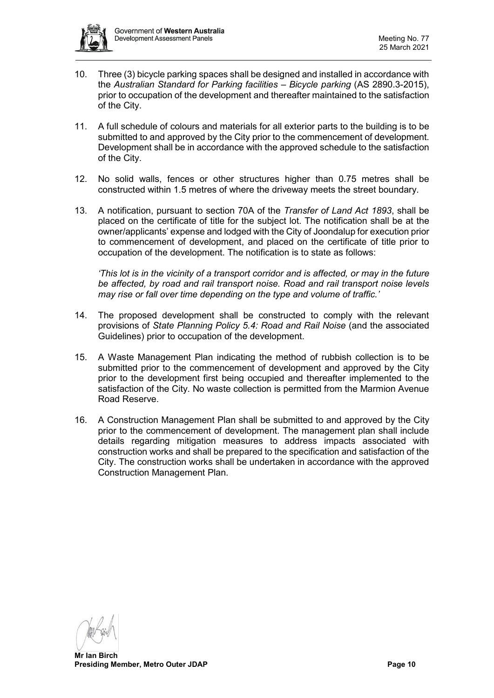

- 10. Three (3) bicycle parking spaces shall be designed and installed in accordance with the *Australian Standard for Parking facilities – Bicycle parking* (AS 2890.3-2015), prior to occupation of the development and thereafter maintained to the satisfaction of the City.
- 11. A full schedule of colours and materials for all exterior parts to the building is to be submitted to and approved by the City prior to the commencement of development. Development shall be in accordance with the approved schedule to the satisfaction of the City.
- 12. No solid walls, fences or other structures higher than 0.75 metres shall be constructed within 1.5 metres of where the driveway meets the street boundary.
- 13. A notification, pursuant to section 70A of the *Transfer of Land Act 1893*, shall be placed on the certificate of title for the subject lot. The notification shall be at the owner/applicants' expense and lodged with the City of Joondalup for execution prior to commencement of development, and placed on the certificate of title prior to occupation of the development. The notification is to state as follows:

*'This lot is in the vicinity of a transport corridor and is affected, or may in the future be affected, by road and rail transport noise. Road and rail transport noise levels may rise or fall over time depending on the type and volume of traffic.'*

- 14. The proposed development shall be constructed to comply with the relevant provisions of *State Planning Policy 5.4: Road and Rail Noise* (and the associated Guidelines) prior to occupation of the development.
- 15. A Waste Management Plan indicating the method of rubbish collection is to be submitted prior to the commencement of development and approved by the City prior to the development first being occupied and thereafter implemented to the satisfaction of the City. No waste collection is permitted from the Marmion Avenue Road Reserve.
- 16. A Construction Management Plan shall be submitted to and approved by the City prior to the commencement of development. The management plan shall include details regarding mitigation measures to address impacts associated with construction works and shall be prepared to the specification and satisfaction of the City. The construction works shall be undertaken in accordance with the approved Construction Management Plan.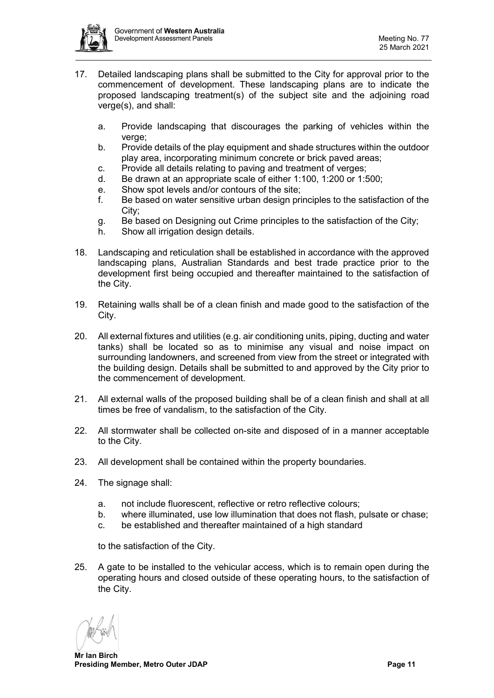

- 17. Detailed landscaping plans shall be submitted to the City for approval prior to the commencement of development. These landscaping plans are to indicate the proposed landscaping treatment(s) of the subject site and the adjoining road verge(s), and shall:
	- a. Provide landscaping that discourages the parking of vehicles within the verge;
	- b. Provide details of the play equipment and shade structures within the outdoor play area, incorporating minimum concrete or brick paved areas;
	- c. Provide all details relating to paving and treatment of verges;
	- d. Be drawn at an appropriate scale of either 1:100, 1:200 or 1:500;
	- e. Show spot levels and/or contours of the site;
	- f. Be based on water sensitive urban design principles to the satisfaction of the City;
	- g. Be based on Designing out Crime principles to the satisfaction of the City;
	- h. Show all irrigation design details.
- 18. Landscaping and reticulation shall be established in accordance with the approved landscaping plans, Australian Standards and best trade practice prior to the development first being occupied and thereafter maintained to the satisfaction of the City.
- 19. Retaining walls shall be of a clean finish and made good to the satisfaction of the City.
- 20. All external fixtures and utilities (e.g. air conditioning units, piping, ducting and water tanks) shall be located so as to minimise any visual and noise impact on surrounding landowners, and screened from view from the street or integrated with the building design. Details shall be submitted to and approved by the City prior to the commencement of development.
- 21. All external walls of the proposed building shall be of a clean finish and shall at all times be free of vandalism, to the satisfaction of the City.
- 22. All stormwater shall be collected on-site and disposed of in a manner acceptable to the City.
- 23. All development shall be contained within the property boundaries.
- 24. The signage shall:
	- a. not include fluorescent, reflective or retro reflective colours;
	- b. where illuminated, use low illumination that does not flash, pulsate or chase;
	- c. be established and thereafter maintained of a high standard

to the satisfaction of the City.

25. A gate to be installed to the vehicular access, which is to remain open during the operating hours and closed outside of these operating hours, to the satisfaction of the City.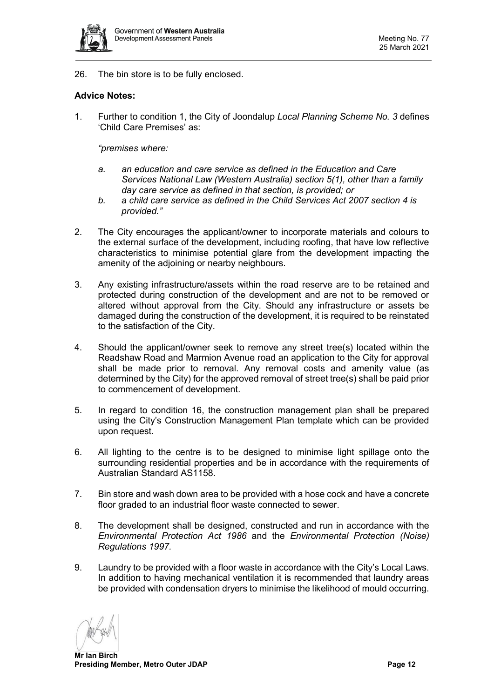

26. The bin store is to be fully enclosed.

## **Advice Notes:**

1. Further to condition 1, the City of Joondalup *Local Planning Scheme No. 3* defines 'Child Care Premises' as:

*"premises where:*

- *a. an education and care service as defined in the Education and Care Services National Law (Western Australia) section 5(1), other than a family day care service as defined in that section, is provided; or*
- *b. a child care service as defined in the Child Services Act 2007 section 4 is provided."*
- 2. The City encourages the applicant/owner to incorporate materials and colours to the external surface of the development, including roofing, that have low reflective characteristics to minimise potential glare from the development impacting the amenity of the adjoining or nearby neighbours.
- 3. Any existing infrastructure/assets within the road reserve are to be retained and protected during construction of the development and are not to be removed or altered without approval from the City. Should any infrastructure or assets be damaged during the construction of the development, it is required to be reinstated to the satisfaction of the City.
- 4. Should the applicant/owner seek to remove any street tree(s) located within the Readshaw Road and Marmion Avenue road an application to the City for approval shall be made prior to removal. Any removal costs and amenity value (as determined by the City) for the approved removal of street tree(s) shall be paid prior to commencement of development.
- 5. In regard to condition 16, the construction management plan shall be prepared using the City's Construction Management Plan template which can be provided upon request.
- 6. All lighting to the centre is to be designed to minimise light spillage onto the surrounding residential properties and be in accordance with the requirements of Australian Standard AS1158.
- 7. Bin store and wash down area to be provided with a hose cock and have a concrete floor graded to an industrial floor waste connected to sewer.
- 8. The development shall be designed, constructed and run in accordance with the *Environmental Protection Act 1986* and the *Environmental Protection (Noise) Regulations 1997.*
- 9. Laundry to be provided with a floor waste in accordance with the City's Local Laws. In addition to having mechanical ventilation it is recommended that laundry areas be provided with condensation dryers to minimise the likelihood of mould occurring.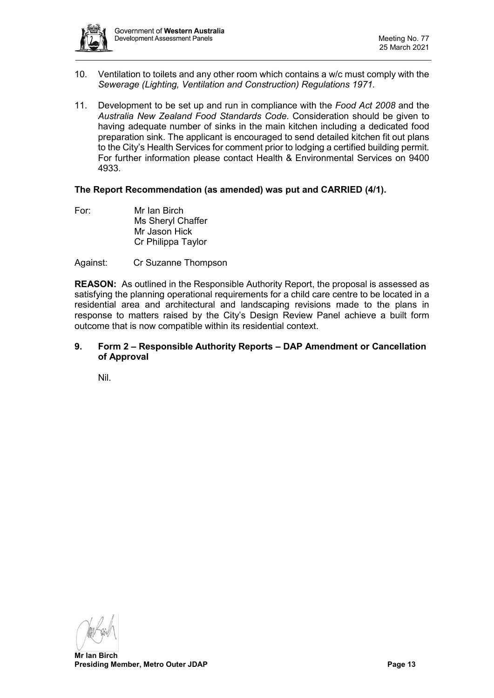

- 10. Ventilation to toilets and any other room which contains a w/c must comply with the *Sewerage (Lighting, Ventilation and Construction) Regulations 1971.*
- 11. Development to be set up and run in compliance with the *Food Act 2008* and the *Australia New Zealand Food Standards Code*. Consideration should be given to having adequate number of sinks in the main kitchen including a dedicated food preparation sink. The applicant is encouraged to send detailed kitchen fit out plans to the City's Health Services for comment prior to lodging a certified building permit. For further information please contact Health & Environmental Services on 9400 4933.

## **The Report Recommendation (as amended) was put and CARRIED (4/1).**

For: Mr Ian Birch Ms Sheryl Chaffer Mr Jason Hick Cr Philippa Taylor

## Against: Cr Suzanne Thompson

**REASON:** As outlined in the Responsible Authority Report, the proposal is assessed as satisfying the planning operational requirements for a child care centre to be located in a residential area and architectural and landscaping revisions made to the plans in response to matters raised by the City's Design Review Panel achieve a built form outcome that is now compatible within its residential context.

## <span id="page-12-0"></span>**9. Form 2 – Responsible Authority Reports – DAP Amendment or Cancellation of Approval**

<span id="page-12-1"></span>Nil.